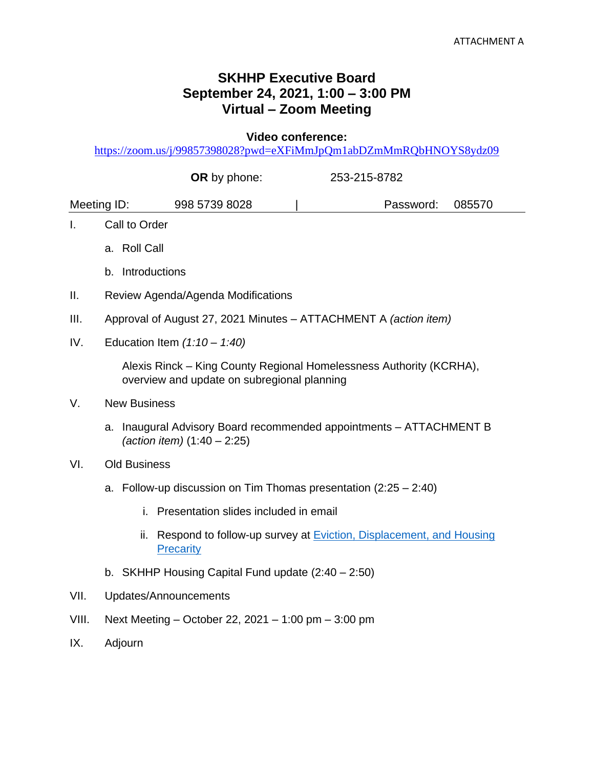## **SKHHP Executive Board September 24, 2021, 1:00 – 3:00 PM Virtual – Zoom Meeting**

**Video conference:** 

<https://zoom.us/j/99857398028?pwd=eXFiMmJpQm1abDZmMmRQbHNOYS8ydz09>

|             |                                                                                                                             |                     |               | OR by phone:                                                                                                       |           | 253-215-8782 |  |  |  |  |
|-------------|-----------------------------------------------------------------------------------------------------------------------------|---------------------|---------------|--------------------------------------------------------------------------------------------------------------------|-----------|--------------|--|--|--|--|
| Meeting ID: |                                                                                                                             |                     | 998 5739 8028 |                                                                                                                    | Password: | 085570       |  |  |  |  |
| T.          | Call to Order                                                                                                               |                     |               |                                                                                                                    |           |              |  |  |  |  |
|             |                                                                                                                             | a. Roll Call        |               |                                                                                                                    |           |              |  |  |  |  |
|             |                                                                                                                             |                     |               | b. Introductions                                                                                                   |           |              |  |  |  |  |
| Ⅱ.          | Review Agenda/Agenda Modifications                                                                                          |                     |               |                                                                                                                    |           |              |  |  |  |  |
| III.        | Approval of August 27, 2021 Minutes - ATTACHMENT A (action item)                                                            |                     |               |                                                                                                                    |           |              |  |  |  |  |
| IV.         | Education Item $(1:10 - 1:40)$                                                                                              |                     |               |                                                                                                                    |           |              |  |  |  |  |
|             |                                                                                                                             |                     |               | Alexis Rinck – King County Regional Homelessness Authority (KCRHA),<br>overview and update on subregional planning |           |              |  |  |  |  |
| V.          | <b>New Business</b><br>a. Inaugural Advisory Board recommended appointments - ATTACHMENT B<br>(action item) $(1:40 - 2:25)$ |                     |               |                                                                                                                    |           |              |  |  |  |  |
|             |                                                                                                                             |                     |               |                                                                                                                    |           |              |  |  |  |  |
| VI.         |                                                                                                                             | <b>Old Business</b> |               |                                                                                                                    |           |              |  |  |  |  |
|             | a. Follow-up discussion on Tim Thomas presentation (2:25 - 2:40)                                                            |                     |               |                                                                                                                    |           |              |  |  |  |  |
|             |                                                                                                                             |                     | i.            | Presentation slides included in email                                                                              |           |              |  |  |  |  |
|             |                                                                                                                             |                     |               | ii. Respond to follow-up survey at <b>Eviction</b> , Displacement, and Housing<br>Precarity                        |           |              |  |  |  |  |
|             |                                                                                                                             |                     |               | b. SKHHP Housing Capital Fund update $(2:40 - 2:50)$                                                               |           |              |  |  |  |  |
| VII.        | Updates/Announcements                                                                                                       |                     |               |                                                                                                                    |           |              |  |  |  |  |
| VIII.       | Next Meeting – October 22, 2021 – 1:00 pm – 3:00 pm                                                                         |                     |               |                                                                                                                    |           |              |  |  |  |  |
| IX.         | Adjourn                                                                                                                     |                     |               |                                                                                                                    |           |              |  |  |  |  |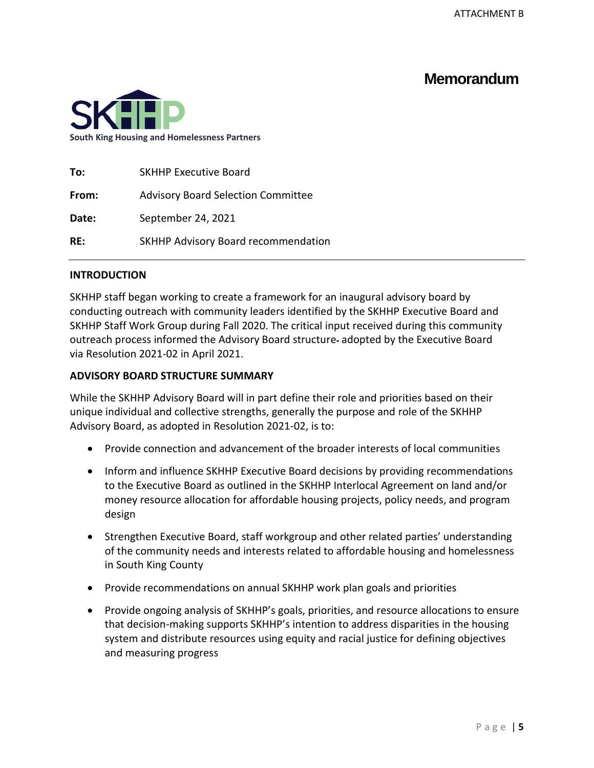# **Memorandum**



| To:   | <b>SKHHP Executive Board</b>              |
|-------|-------------------------------------------|
| From: | <b>Advisory Board Selection Committee</b> |
| Date: | September 24, 2021                        |
| RE:   | SKHHP Advisory Board recommendation       |

## **INTRODUCTION**

SKHHP staff began working to create a framework for an inaugural advisory board by conducting outreach with community leaders identified by the SKHHP Executive Board and SKHHP Staff Work Group during Fall 2020. The critical input received during this community outreach process informed the Advisory Board structure adopted by the Executive Board via Resolution 2021-02 in April 2021.

## **ADVISORY BOARD STRUCTURE SUMMARY**

While the SKHHP Advisory Board will in part define their role and priorities based on their unique individual and collective strengths, generally the purpose and role of the SKHHP Advisory Board, as adopted in Resolution 2021-02, is to:

- Provide connection and advancement of the broader interests of local communities
- Inform and influence SKHHP Executive Board decisions by providing recommendations to the Executive Board as outlined in the SKHHP Interlocal Agreement on land and/or money resource allocation for affordable housing projects, policy needs, and program design
- Strengthen Executive Board, staff workgroup and other related parties' understanding of the community needs and interests related to affordable housing and homelessness in South King County
- Provide recommendations on annual SKHHP work plan goals and priorities
- Provide ongoing analysis of SKHHP's goals, priorities, and resource allocations to ensure that decision-making supports SKHHP's intention to address disparities in the housing system and distribute resources using equity and racial justice for defining objectives and measuring progress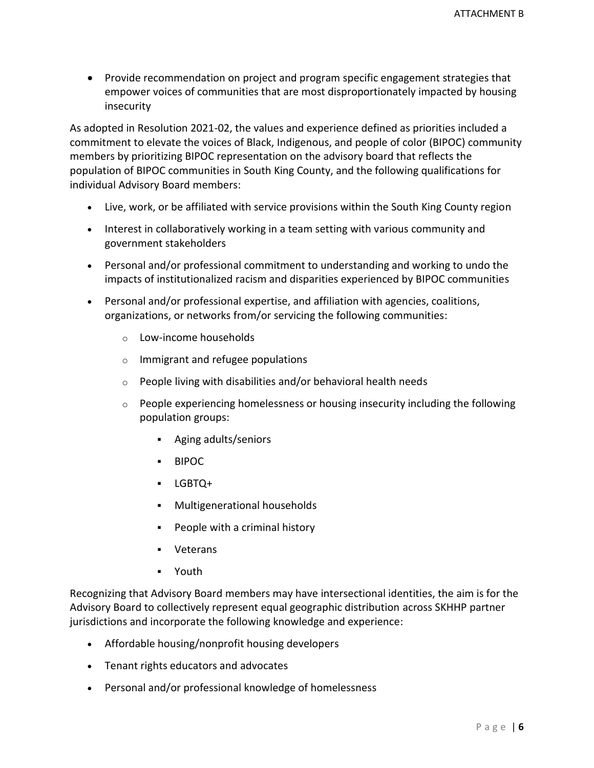• Provide recommendation on project and program specific engagement strategies that empower voices of communities that are most disproportionately impacted by housing insecurity

As adopted in Resolution 2021-02, the values and experience defined as priorities included a commitment to elevate the voices of Black, Indigenous, and people of color (BIPOC) community members by prioritizing BIPOC representation on the advisory board that reflects the population of BIPOC communities in South King County, and the following qualifications for individual Advisory Board members:

- Live, work, or be affiliated with service provisions within the South King County region
- Interest in collaboratively working in a team setting with various community and government stakeholders
- Personal and/or professional commitment to understanding and working to undo the impacts of institutionalized racism and disparities experienced by BIPOC communities
- Personal and/or professional expertise, and affiliation with agencies, coalitions, organizations, or networks from/or servicing the following communities:
	- o Low-income households
	- o Immigrant and refugee populations
	- $\circ$  People living with disabilities and/or behavioral health needs
	- $\circ$  People experiencing homelessness or housing insecurity including the following population groups:
		- Aging adults/seniors
		- BIPOC
		- LGBTQ+
		- Multigenerational households
		- People with a criminal history
		- Veterans
		- Youth

Recognizing that Advisory Board members may have intersectional identities, the aim is for the Advisory Board to collectively represent equal geographic distribution across SKHHP partner jurisdictions and incorporate the following knowledge and experience:

- Affordable housing/nonprofit housing developers
- Tenant rights educators and advocates
- Personal and/or professional knowledge of homelessness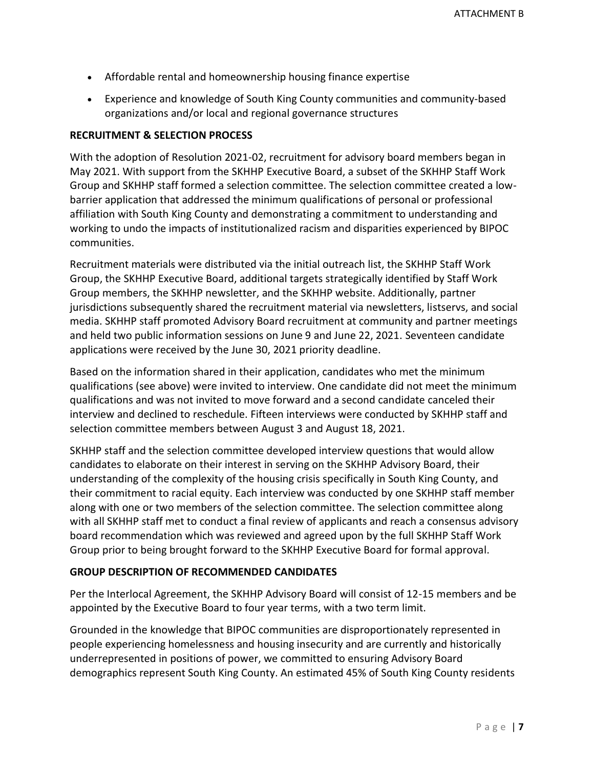- Affordable rental and homeownership housing finance expertise
- Experience and knowledge of South King County communities and community-based organizations and/or local and regional governance structures

## **RECRUITMENT & SELECTION PROCESS**

With the adoption of Resolution 2021-02, recruitment for advisory board members began in May 2021. With support from the SKHHP Executive Board, a subset of the SKHHP Staff Work Group and SKHHP staff formed a selection committee. The selection committee created a lowbarrier application that addressed the minimum qualifications of personal or professional affiliation with South King County and demonstrating a commitment to understanding and working to undo the impacts of institutionalized racism and disparities experienced by BIPOC communities.

Recruitment materials were distributed via the initial outreach list, the SKHHP Staff Work Group, the SKHHP Executive Board, additional targets strategically identified by Staff Work Group members, the SKHHP newsletter, and the SKHHP website. Additionally, partner jurisdictions subsequently shared the recruitment material via newsletters, listservs, and social media. SKHHP staff promoted Advisory Board recruitment at community and partner meetings and held two public information sessions on June 9 and June 22, 2021. Seventeen candidate applications were received by the June 30, 2021 priority deadline.

Based on the information shared in their application, candidates who met the minimum qualifications (see above) were invited to interview. One candidate did not meet the minimum qualifications and was not invited to move forward and a second candidate canceled their interview and declined to reschedule. Fifteen interviews were conducted by SKHHP staff and selection committee members between August 3 and August 18, 2021.

SKHHP staff and the selection committee developed interview questions that would allow candidates to elaborate on their interest in serving on the SKHHP Advisory Board, their understanding of the complexity of the housing crisis specifically in South King County, and their commitment to racial equity. Each interview was conducted by one SKHHP staff member along with one or two members of the selection committee. The selection committee along with all SKHHP staff met to conduct a final review of applicants and reach a consensus advisory board recommendation which was reviewed and agreed upon by the full SKHHP Staff Work Group prior to being brought forward to the SKHHP Executive Board for formal approval.

## **GROUP DESCRIPTION OF RECOMMENDED CANDIDATES**

Per the Interlocal Agreement, the SKHHP Advisory Board will consist of 12-15 members and be appointed by the Executive Board to four year terms, with a two term limit.

Grounded in the knowledge that BIPOC communities are disproportionately represented in people experiencing homelessness and housing insecurity and are currently and historically underrepresented in positions of power, we committed to ensuring Advisory Board demographics represent South King County. An estimated 45% of South King County residents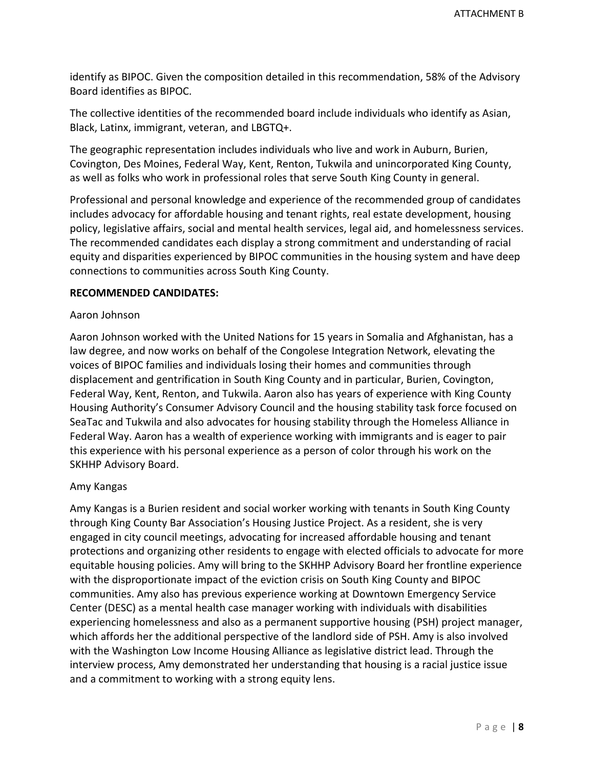identify as BIPOC. Given the composition detailed in this recommendation, 58% of the Advisory Board identifies as BIPOC.

The collective identities of the recommended board include individuals who identify as Asian, Black, Latinx, immigrant, veteran, and LBGTQ+.

The geographic representation includes individuals who live and work in Auburn, Burien, Covington, Des Moines, Federal Way, Kent, Renton, Tukwila and unincorporated King County, as well as folks who work in professional roles that serve South King County in general.

Professional and personal knowledge and experience of the recommended group of candidates includes advocacy for affordable housing and tenant rights, real estate development, housing policy, legislative affairs, social and mental health services, legal aid, and homelessness services. The recommended candidates each display a strong commitment and understanding of racial equity and disparities experienced by BIPOC communities in the housing system and have deep connections to communities across South King County.

## **RECOMMENDED CANDIDATES:**

## Aaron Johnson

Aaron Johnson worked with the United Nations for 15 years in Somalia and Afghanistan, has a law degree, and now works on behalf of the Congolese Integration Network, elevating the voices of BIPOC families and individuals losing their homes and communities through displacement and gentrification in South King County and in particular, Burien, Covington, Federal Way, Kent, Renton, and Tukwila. Aaron also has years of experience with King County Housing Authority's Consumer Advisory Council and the housing stability task force focused on SeaTac and Tukwila and also advocates for housing stability through the Homeless Alliance in Federal Way. Aaron has a wealth of experience working with immigrants and is eager to pair this experience with his personal experience as a person of color through his work on the SKHHP Advisory Board.

## Amy Kangas

Amy Kangas is a Burien resident and social worker working with tenants in South King County through King County Bar Association's Housing Justice Project. As a resident, she is very engaged in city council meetings, advocating for increased affordable housing and tenant protections and organizing other residents to engage with elected officials to advocate for more equitable housing policies. Amy will bring to the SKHHP Advisory Board her frontline experience with the disproportionate impact of the eviction crisis on South King County and BIPOC communities. Amy also has previous experience working at Downtown Emergency Service Center (DESC) as a mental health case manager working with individuals with disabilities experiencing homelessness and also as a permanent supportive housing (PSH) project manager, which affords her the additional perspective of the landlord side of PSH. Amy is also involved with the Washington Low Income Housing Alliance as legislative district lead. Through the interview process, Amy demonstrated her understanding that housing is a racial justice issue and a commitment to working with a strong equity lens.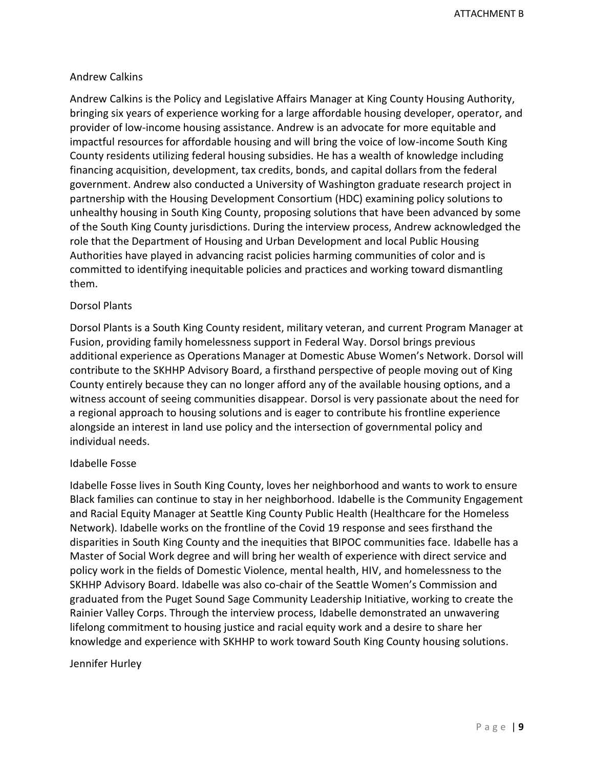## Andrew Calkins

Andrew Calkins is the Policy and Legislative Affairs Manager at King County Housing Authority, bringing six years of experience working for a large affordable housing developer, operator, and provider of low-income housing assistance. Andrew is an advocate for more equitable and impactful resources for affordable housing and will bring the voice of low-income South King County residents utilizing federal housing subsidies. He has a wealth of knowledge including financing acquisition, development, tax credits, bonds, and capital dollars from the federal government. Andrew also conducted a University of Washington graduate research project in partnership with the Housing Development Consortium (HDC) examining policy solutions to unhealthy housing in South King County, proposing solutions that have been advanced by some of the South King County jurisdictions. During the interview process, Andrew acknowledged the role that the Department of Housing and Urban Development and local Public Housing Authorities have played in advancing racist policies harming communities of color and is committed to identifying inequitable policies and practices and working toward dismantling them.

## Dorsol Plants

Dorsol Plants is a South King County resident, military veteran, and current Program Manager at Fusion, providing family homelessness support in Federal Way. Dorsol brings previous additional experience as Operations Manager at Domestic Abuse Women's Network. Dorsol will contribute to the SKHHP Advisory Board, a firsthand perspective of people moving out of King County entirely because they can no longer afford any of the available housing options, and a witness account of seeing communities disappear. Dorsol is very passionate about the need for a regional approach to housing solutions and is eager to contribute his frontline experience alongside an interest in land use policy and the intersection of governmental policy and individual needs.

## Idabelle Fosse

Idabelle Fosse lives in South King County, loves her neighborhood and wants to work to ensure Black families can continue to stay in her neighborhood. Idabelle is the Community Engagement and Racial Equity Manager at Seattle King County Public Health (Healthcare for the Homeless Network). Idabelle works on the frontline of the Covid 19 response and sees firsthand the disparities in South King County and the inequities that BIPOC communities face. Idabelle has a Master of Social Work degree and will bring her wealth of experience with direct service and policy work in the fields of Domestic Violence, mental health, HIV, and homelessness to the SKHHP Advisory Board. Idabelle was also co-chair of the Seattle Women's Commission and graduated from the Puget Sound Sage Community Leadership Initiative, working to create the Rainier Valley Corps. Through the interview process, Idabelle demonstrated an unwavering lifelong commitment to housing justice and racial equity work and a desire to share her knowledge and experience with SKHHP to work toward South King County housing solutions.

## Jennifer Hurley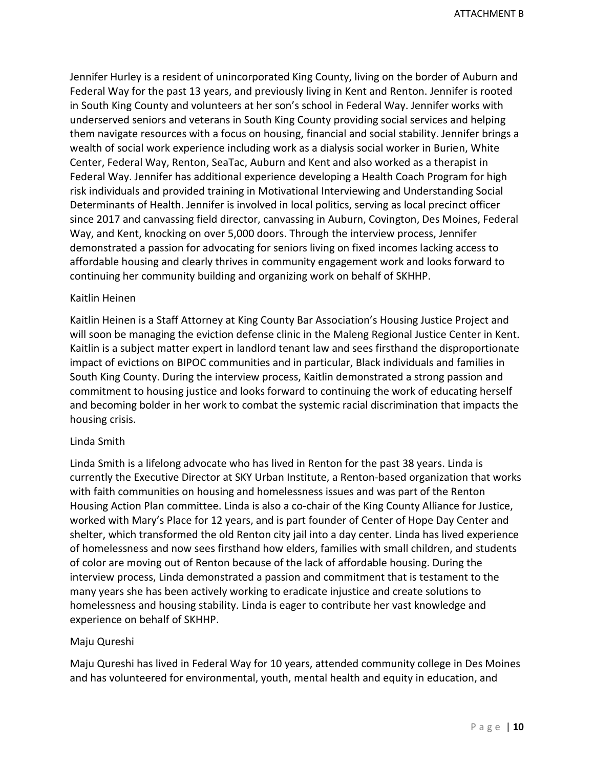Jennifer Hurley is a resident of unincorporated King County, living on the border of Auburn and Federal Way for the past 13 years, and previously living in Kent and Renton. Jennifer is rooted in South King County and volunteers at her son's school in Federal Way. Jennifer works with underserved seniors and veterans in South King County providing social services and helping them navigate resources with a focus on housing, financial and social stability. Jennifer brings a wealth of social work experience including work as a dialysis social worker in Burien, White Center, Federal Way, Renton, SeaTac, Auburn and Kent and also worked as a therapist in Federal Way. Jennifer has additional experience developing a Health Coach Program for high risk individuals and provided training in Motivational Interviewing and Understanding Social Determinants of Health. Jennifer is involved in local politics, serving as local precinct officer since 2017 and canvassing field director, canvassing in Auburn, Covington, Des Moines, Federal Way, and Kent, knocking on over 5,000 doors. Through the interview process, Jennifer demonstrated a passion for advocating for seniors living on fixed incomes lacking access to affordable housing and clearly thrives in community engagement work and looks forward to continuing her community building and organizing work on behalf of SKHHP.

## Kaitlin Heinen

Kaitlin Heinen is a Staff Attorney at King County Bar Association's Housing Justice Project and will soon be managing the eviction defense clinic in the Maleng Regional Justice Center in Kent. Kaitlin is a subject matter expert in landlord tenant law and sees firsthand the disproportionate impact of evictions on BIPOC communities and in particular, Black individuals and families in South King County. During the interview process, Kaitlin demonstrated a strong passion and commitment to housing justice and looks forward to continuing the work of educating herself and becoming bolder in her work to combat the systemic racial discrimination that impacts the housing crisis.

#### Linda Smith

Linda Smith is a lifelong advocate who has lived in Renton for the past 38 years. Linda is currently the Executive Director at SKY Urban Institute, a Renton-based organization that works with faith communities on housing and homelessness issues and was part of the Renton Housing Action Plan committee. Linda is also a co-chair of the King County Alliance for Justice, worked with Mary's Place for 12 years, and is part founder of Center of Hope Day Center and shelter, which transformed the old Renton city jail into a day center. Linda has lived experience of homelessness and now sees firsthand how elders, families with small children, and students of color are moving out of Renton because of the lack of affordable housing. During the interview process, Linda demonstrated a passion and commitment that is testament to the many years she has been actively working to eradicate injustice and create solutions to homelessness and housing stability. Linda is eager to contribute her vast knowledge and experience on behalf of SKHHP.

#### Maju Qureshi

Maju Qureshi has lived in Federal Way for 10 years, attended community college in Des Moines and has volunteered for environmental, youth, mental health and equity in education, and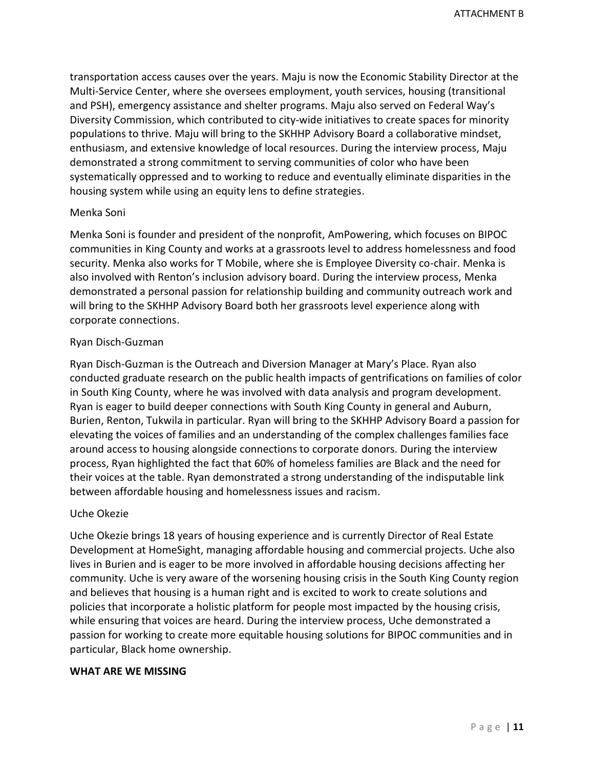transportation access causes over the years. Maju is now the Economic Stability Director at the Multi-Service Center, where she oversees employment, youth services, housing (transitional and PSH), emergency assistance and shelter programs. Maju also served on Federal Way's Diversity Commission, which contributed to city-wide initiatives to create spaces for minority populations to thrive. Maju will bring to the SKHHP Advisory Board a collaborative mindset, enthusiasm, and extensive knowledge of local resources. During the interview process, Maju demonstrated a strong commitment to serving communities of color who have been systematically oppressed and to working to reduce and eventually eliminate disparities in the housing system while using an equity lens to define strategies.

## Menka Soni

Menka Soni is founder and president of the nonprofit, AmPowering, which focuses on BIPOC communities in King County and works at a grassroots level to address homelessness and food security. Menka also works for T Mobile, where she is Employee Diversity co-chair. Menka is also involved with Renton's inclusion advisory board. During the interview process, Menka demonstrated a personal passion for relationship building and community outreach work and will bring to the SKHHP Advisory Board both her grassroots level experience along with corporate connections.

## Ryan Disch-Guzman

Ryan Disch-Guzman is the Outreach and Diversion Manager at Mary's Place. Ryan also conducted graduate research on the public health impacts of gentrifications on families of color in South King County, where he was involved with data analysis and program development. Ryan is eager to build deeper connections with South King County in general and Auburn, Burien, Renton, Tukwila in particular. Ryan will bring to the SKHHP Advisory Board a passion for elevating the voices of families and an understanding of the complex challenges families face around access to housing alongside connections to corporate donors. During the interview process, Ryan highlighted the fact that 60% of homeless families are Black and the need for their voices at the table. Ryan demonstrated a strong understanding of the indisputable link between affordable housing and homelessness issues and racism.

## Uche Okezie

Uche Okezie brings 18 years of housing experience and is currently Director of Real Estate Development at HomeSight, managing affordable housing and commercial projects. Uche also lives in Burien and is eager to be more involved in affordable housing decisions affecting her community. Uche is very aware of the worsening housing crisis in the South King County region and believes that housing is a human right and is excited to work to create solutions and policies that incorporate a holistic platform for people most impacted by the housing crisis, while ensuring that voices are heard. During the interview process, Uche demonstrated a passion for working to create more equitable housing solutions for BIPOC communities and in particular, Black home ownership.

## **WHAT ARE WE MISSING**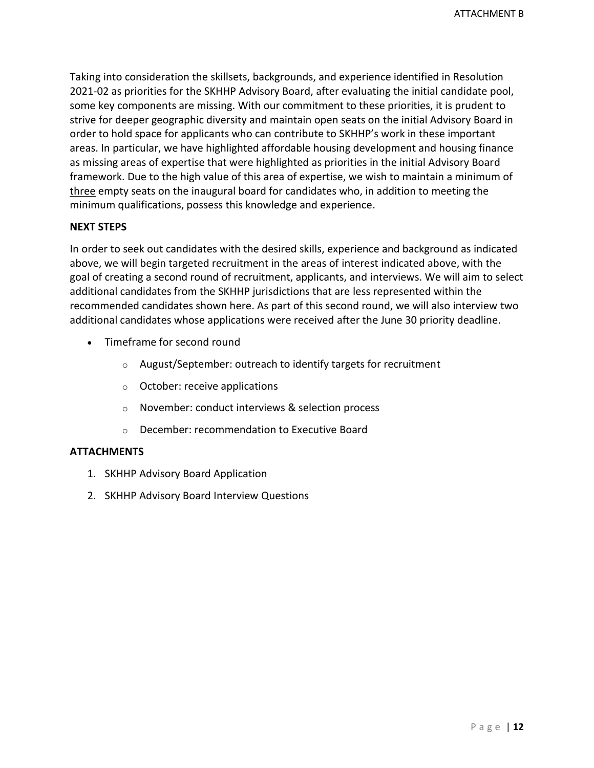Taking into consideration the skillsets, backgrounds, and experience identified in Resolution 2021-02 as priorities for the SKHHP Advisory Board, after evaluating the initial candidate pool, some key components are missing. With our commitment to these priorities, it is prudent to strive for deeper geographic diversity and maintain open seats on the initial Advisory Board in order to hold space for applicants who can contribute to SKHHP's work in these important areas. In particular, we have highlighted affordable housing development and housing finance as missing areas of expertise that were highlighted as priorities in the initial Advisory Board framework. Due to the high value of this area of expertise, we wish to maintain a minimum of three empty seats on the inaugural board for candidates who, in addition to meeting the minimum qualifications, possess this knowledge and experience.

## **NEXT STEPS**

In order to seek out candidates with the desired skills, experience and background as indicated above, we will begin targeted recruitment in the areas of interest indicated above, with the goal of creating a second round of recruitment, applicants, and interviews. We will aim to select additional candidates from the SKHHP jurisdictions that are less represented within the recommended candidates shown here. As part of this second round, we will also interview two additional candidates whose applications were received after the June 30 priority deadline.

- Timeframe for second round
	- o August/September: outreach to identify targets for recruitment
	- o October: receive applications
	- o November: conduct interviews & selection process
	- o December: recommendation to Executive Board

## **ATTACHMENTS**

- 1. SKHHP Advisory Board Application
- 2. SKHHP Advisory Board Interview Questions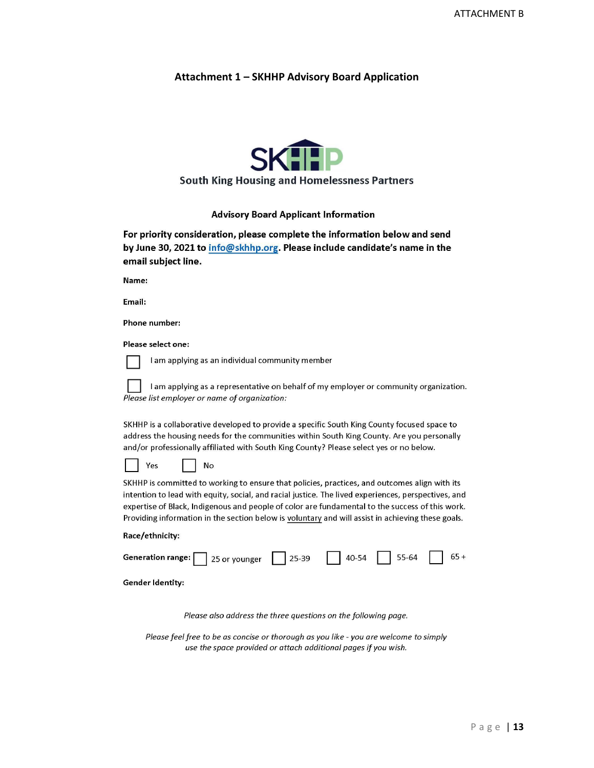### Attachment 1 - SKHHP Advisory Board Application



### **South King Housing and Homelessness Partners**

#### **Advisory Board Applicant Information**

For priority consideration, please complete the information below and send by June 30, 2021 to info@skhhp.org. Please include candidate's name in the email subject line.

Name:

Email:

Phone number:

Please select one:



I am applying as an individual community member

No

I am applying as a representative on behalf of my employer or community organization. Please list employer or name of organization:

SKHHP is a collaborative developed to provide a specific South King County focused space to address the housing needs for the communities within South King County. Are you personally and/or professionally affiliated with South King County? Please select yes or no below.

Yes

SKHHP is committed to working to ensure that policies, practices, and outcomes align with its intention to lead with equity, social, and racial justice. The lived experiences, perspectives, and expertise of Black, Indigenous and people of color are fundamental to the success of this work. Providing information in the section below is voluntary and will assist in achieving these goals.

#### Race/ethnicity:

| Generation range: $\boxed{\phantom{2}25}$ or younger $\phantom{2}25-39$ $\phantom{2}35-54$ $\phantom{2}40-54$ $\phantom{2}55-64$ $\phantom{2}65+$ |  |  |  |
|---------------------------------------------------------------------------------------------------------------------------------------------------|--|--|--|
|                                                                                                                                                   |  |  |  |

**Gender Identity:** 

Please also address the three questions on the following page.

Please feel free to be as concise or thorough as you like - you are welcome to simply use the space provided or attach additional pages if you wish.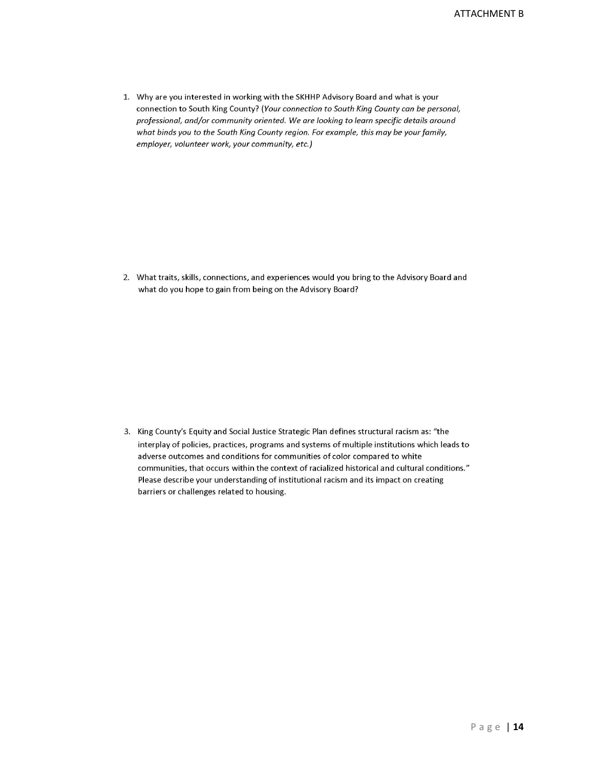1. Why are you interested in working with the SKHHP Advisory Board and what is your connection to South King County? (Your connection to South King County can be personal, professional, and/or community oriented. We are looking to learn specific details around what binds you to the South King County region. For example, this may be your family, employer, volunteer work, your community, etc.)

2. What traits, skills, connections, and experiences would you bring to the Advisory Board and what do you hope to gain from being on the Advisory Board?

3. King County's Equity and Social Justice Strategic Plan defines structural racism as: "the interplay of policies, practices, programs and systems of multiple institutions which leads to adverse outcomes and conditions for communities of color compared to white communities, that occurs within the context of racialized historical and cultural conditions." Please describe your understanding of institutional racism and its impact on creating barriers or challenges related to housing.